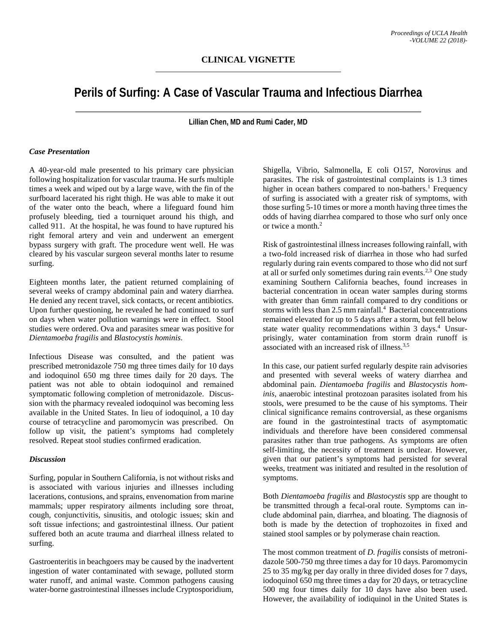# **Perils of Surfing: A Case of Vascular Trauma and Infectious Diarrhea**

**Lillian Chen, MD and Rumi Cader, MD**

## *Case Presentation*

A 40-year-old male presented to his primary care physician following hospitalization for vascular trauma. He surfs multiple times a week and wiped out by a large wave, with the fin of the surfboard lacerated his right thigh. He was able to make it out of the water onto the beach, where a lifeguard found him profusely bleeding, tied a tourniquet around his thigh, and called 911. At the hospital, he was found to have ruptured his right femoral artery and vein and underwent an emergent bypass surgery with graft. The procedure went well. He was cleared by his vascular surgeon several months later to resume surfing.

Eighteen months later, the patient returned complaining of several weeks of crampy abdominal pain and watery diarrhea. He denied any recent travel, sick contacts, or recent antibiotics. Upon further questioning, he revealed he had continued to surf on days when water pollution warnings were in effect. Stool studies were ordered. Ova and parasites smear was positive for *Dientamoeba fragilis* and *Blastocystis hominis*.

Infectious Disease was consulted, and the patient was prescribed metronidazole 750 mg three times daily for 10 days and iodoquinol 650 mg three times daily for 20 days. The patient was not able to obtain iodoquinol and remained symptomatic following completion of metronidazole. Discussion with the pharmacy revealed iodoquinol was becoming less available in the United States. In lieu of iodoquinol, a 10 day course of tetracycline and paromomycin was prescribed. On follow up visit, the patient's symptoms had completely resolved. Repeat stool studies confirmed eradication.

#### *Discussion*

Surfing, popular in Southern California, is not without risks and is associated with various injuries and illnesses including lacerations, contusions, and sprains, envenomation from marine mammals; upper respiratory ailments including sore throat, cough, conjunctivitis, sinusitis, and otologic issues; skin and soft tissue infections; and gastrointestinal illness. Our patient suffered both an acute trauma and diarrheal illness related to surfing.

Gastroenteritis in beachgoers may be caused by the inadvertent ingestion of water contaminated with sewage, polluted storm water runoff, and animal waste. Common pathogens causing water-borne gastrointestinal illnesses include Cryptosporidium,

Shigella, Vibrio, Salmonella, E coli O157, Norovirus and parasites. The risk of gastrointestinal complaints is 1.3 times higher in ocean bathers compared to non-bathers.<sup>1</sup> Frequency of surfing is associated with a greater risk of symptoms, with those surfing 5-10 times or more a month having three times the odds of having diarrhea compared to those who surf only once or twice a month.2

Risk of gastrointestinal illness increases following rainfall, with a two-fold increased risk of diarrhea in those who had surfed regularly during rain events compared to those who did not surf at all or surfed only sometimes during rain events.<sup>2,3</sup> One study examining Southern California beaches, found increases in bacterial concentration in ocean water samples during storms with greater than 6mm rainfall compared to dry conditions or storms with less than 2.5 mm rainfall. 4 Bacterial concentrations remained elevated for up to 5 days after a storm, but fell below state water quality recommendations within 3 days. <sup>4</sup> Unsurprisingly, water contamination from storm drain runoff is associated with an increased risk of illness. 3,5

In this case, our patient surfed regularly despite rain advisories and presented with several weeks of watery diarrhea and abdominal pain. *Dientamoeba fragilis* and *Blastocystis hominis,* anaerobic intestinal protozoan parasites isolated from his stools, were presumed to be the cause of his symptoms. Their clinical significance remains controversial, as these organisms are found in the gastrointestinal tracts of asymptomatic individuals and therefore have been considered commensal parasites rather than true pathogens. As symptoms are often self-limiting, the necessity of treatment is unclear. However, given that our patient's symptoms had persisted for several weeks, treatment was initiated and resulted in the resolution of symptoms.

Both *Dientamoeba fragilis* and *Blastocystis* spp are thought to be transmitted through a fecal-oral route. Symptoms can include abdominal pain, diarrhea, and bloating. The diagnosis of both is made by the detection of trophozoites in fixed and stained stool samples or by polymerase chain reaction.

The most common treatment of *D. fragilis* consists of metronidazole 500-750 mg three times a day for 10 days. Paromomycin 25 to 35 mg/kg per day orally in three divided doses for 7 days, iodoquinol 650 mg three times a day for 20 days, or tetracycline 500 mg four times daily for 10 days have also been used. However, the availability of iodiquinol in the United States is